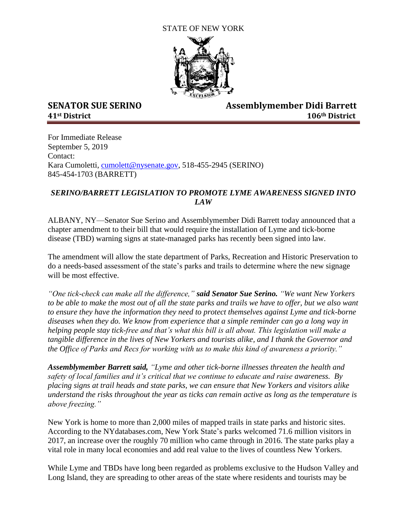## STATE OF NEW YORK



**SENATOR SUE SERINO Assemblymember Didi Barrett 41st District 106th District** 

For Immediate Release September 5, 2019 Contact: Kara Cumoletti, [cumolett@nysenate.gov,](mailto:cumolett@nysenate.gov) 518-455-2945 (SERINO) 845-454-1703 (BARRETT)

## *SERINO/BARRETT LEGISLATION TO PROMOTE LYME AWARENESS SIGNED INTO LAW*

ALBANY, NY—Senator Sue Serino and Assemblymember Didi Barrett today announced that a chapter amendment to their bill that would require the installation of Lyme and tick-borne disease (TBD) warning signs at state-managed parks has recently been signed into law.

The amendment will allow the state department of Parks, Recreation and Historic Preservation to do a needs-based assessment of the state's parks and trails to determine where the new signage will be most effective.

*"One tick-check can make all the difference," said Senator Sue Serino. "We want New Yorkers*  to be able to make the most out of all the state parks and trails we have to offer, but we also want *to ensure they have the information they need to protect themselves against Lyme and tick-borne diseases when they do. We know from experience that a simple reminder can go a long way in helping people stay tick-free and that's what this bill is all about. This legislation will make a tangible difference in the lives of New Yorkers and tourists alike, and I thank the Governor and the Office of Parks and Recs for working with us to make this kind of awareness a priority."*

*Assemblymember Barrett said, "Lyme and other tick-borne illnesses threaten the health and safety of local families and it's critical that we continue to educate and raise awareness. By placing signs at trail heads and state parks, we can ensure that New Yorkers and visitors alike understand the risks throughout the year as ticks can remain active as long as the temperature is above freezing."*

New York is home to more than 2,000 miles of mapped trails in state parks and historic sites. According to the NYdatabases.com, New York State's parks welcomed 71.6 million visitors in 2017, an increase over the roughly 70 million who came through in 2016. The state parks play a vital role in many local economies and add real value to the lives of countless New Yorkers.

While Lyme and TBDs have long been regarded as problems exclusive to the Hudson Valley and Long Island, they are spreading to other areas of the state where residents and tourists may be